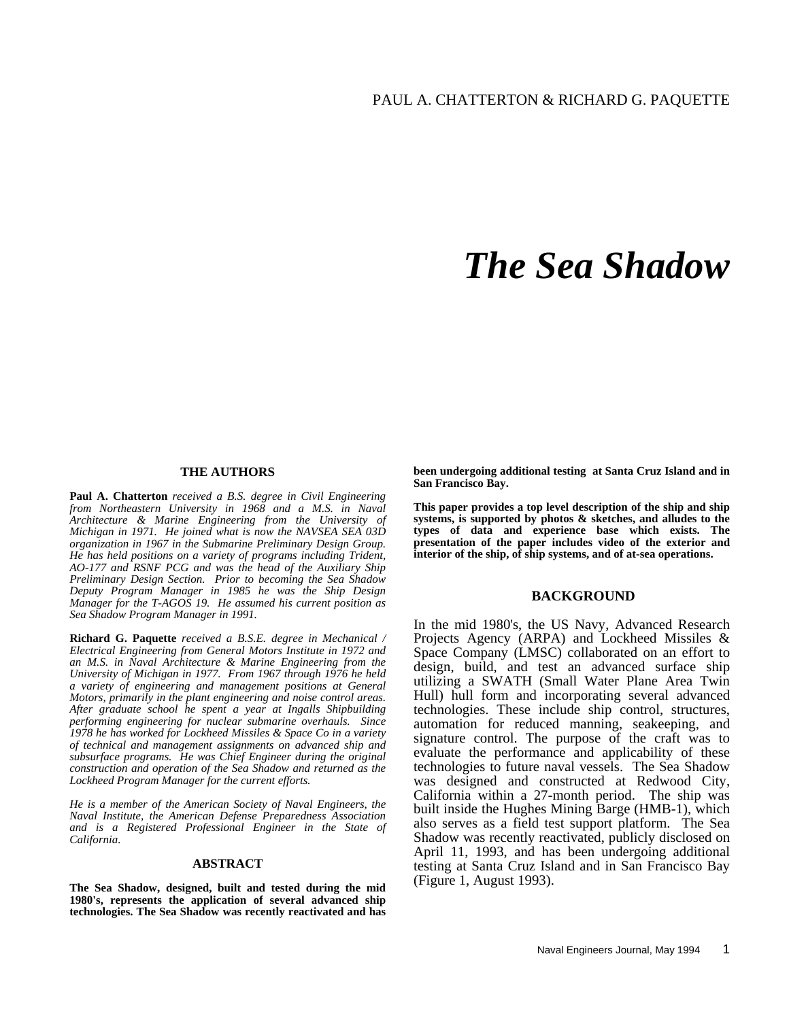# *The Sea Shadow*

#### **THE AUTHORS**

**Paul A. Chatterton** *received a B.S. degree in Civil Engineering from Northeastern University in 1968 and a M.S. in Naval Architecture & Marine Engineering from the University of Michigan in 1971. He joined what is now the NAVSEA SEA 03D organization in 1967 in the Submarine Preliminary Design Group. He has held positions on a variety of programs including Trident, AO-177 and RSNF PCG and was the head of the Auxiliary Ship Preliminary Design Section. Prior to becoming the Sea Shadow Deputy Program Manager in 1985 he was the Ship Design Manager for the T-AGOS 19. He assumed his current position as Sea Shadow Program Manager in 1991.* 

**Richard G. Paquette** *received a B.S.E. degree in Mechanical / Electrical Engineering from General Motors Institute in 1972 and an M.S. in Naval Architecture & Marine Engineering from the University of Michigan in 1977. From 1967 through 1976 he held a variety of engineering and management positions at General Motors, primarily in the plant engineering and noise control areas. After graduate school he spent a year at Ingalls Shipbuilding performing engineering for nuclear submarine overhauls. Since 1978 he has worked for Lockheed Missiles & Space Co in a variety of technical and management assignments on advanced ship and subsurface programs. He was Chief Engineer during the original construction and operation of the Sea Shadow and returned as the Lockheed Program Manager for the current efforts.* 

*He is a member of the American Society of Naval Engineers, the Naval Institute, the American Defense Preparedness Association and is a Registered Professional Engineer in the State of California.* 

#### **ABSTRACT**

**The Sea Shadow, designed, built and tested during the mid 1980's, represents the application of several advanced ship technologies. The Sea Shadow was recently reactivated and has**  **been undergoing additional testing at Santa Cruz Island and in San Francisco Bay.** 

**This paper provides a top level description of the ship and ship systems, is supported by photos & sketches, and alludes to the types of data and experience base which exists. The presentation of the paper includes video of the exterior and interior of the ship, of ship systems, and of at-sea operations.**

#### **BACKGROUND**

In the mid 1980's, the US Navy, Advanced Research Projects Agency (ARPA) and Lockheed Missiles & Space Company (LMSC) collaborated on an effort to design, build, and test an advanced surface ship utilizing a SWATH (Small Water Plane Area Twin Hull) hull form and incorporating several advanced technologies. These include ship control, structures, automation for reduced manning, seakeeping, and signature control. The purpose of the craft was to evaluate the performance and applicability of these technologies to future naval vessels. The Sea Shadow was designed and constructed at Redwood City, California within a 27-month period. The ship was built inside the Hughes Mining Barge (HMB-1), which also serves as a field test support platform. The Sea Shadow was recently reactivated, publicly disclosed on April 11, 1993, and has been undergoing additional testing at Santa Cruz Island and in San Francisco Bay (Figure 1, August 1993).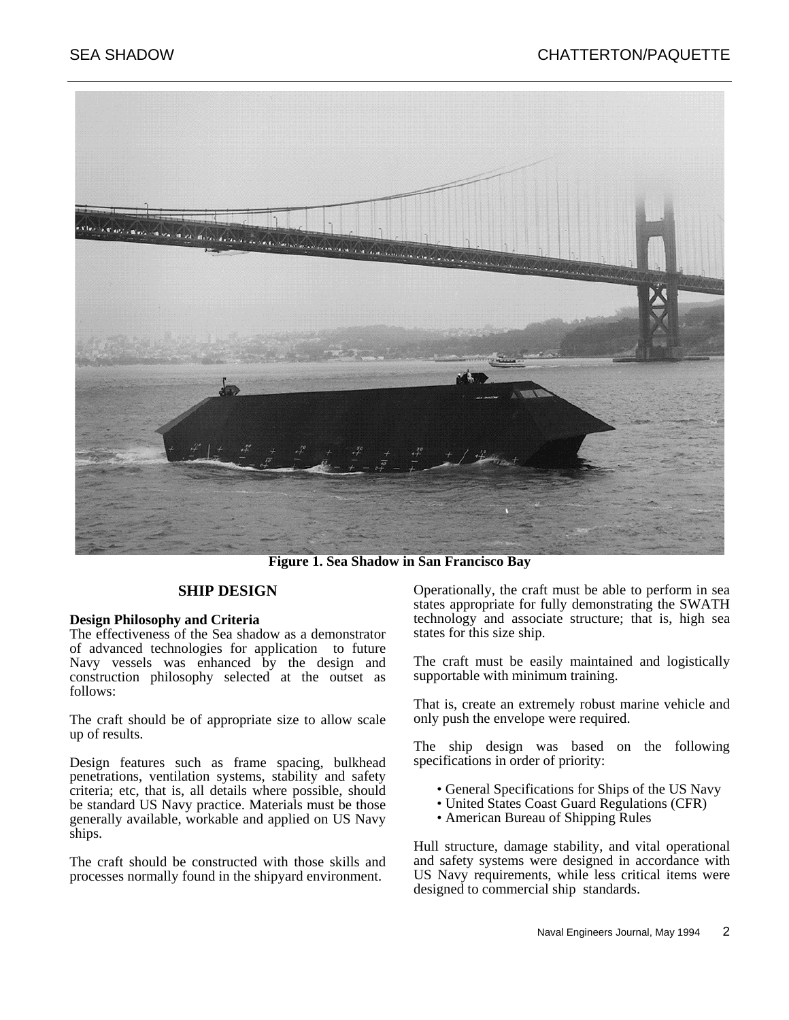

**Figure 1. Sea Shadow in San Francisco Bay** 

# **SHIP DESIGN**

#### **Design Philosophy and Criteria**

The effectiveness of the Sea shadow as a demonstrator of advanced technologies for application to future Navy vessels was enhanced by the design and construction philosophy selected at the outset as follows:

The craft should be of appropriate size to allow scale up of results.

Design features such as frame spacing, bulkhead penetrations, ventilation systems, stability and safety criteria; etc, that is, all details where possible, should be standard US Navy practice. Materials must be those generally available, workable and applied on US Navy ships.

The craft should be constructed with those skills and processes normally found in the shipyard environment.

Operationally, the craft must be able to perform in sea states appropriate for fully demonstrating the SWATH technology and associate structure; that is, high sea states for this size ship.

The craft must be easily maintained and logistically supportable with minimum training.

That is, create an extremely robust marine vehicle and only push the envelope were required.

The ship design was based on the following specifications in order of priority:

- General Specifications for Ships of the US Navy
- United States Coast Guard Regulations (CFR)
- American Bureau of Shipping Rules

Hull structure, damage stability, and vital operational and safety systems were designed in accordance with US Navy requirements, while less critical items were designed to commercial ship standards.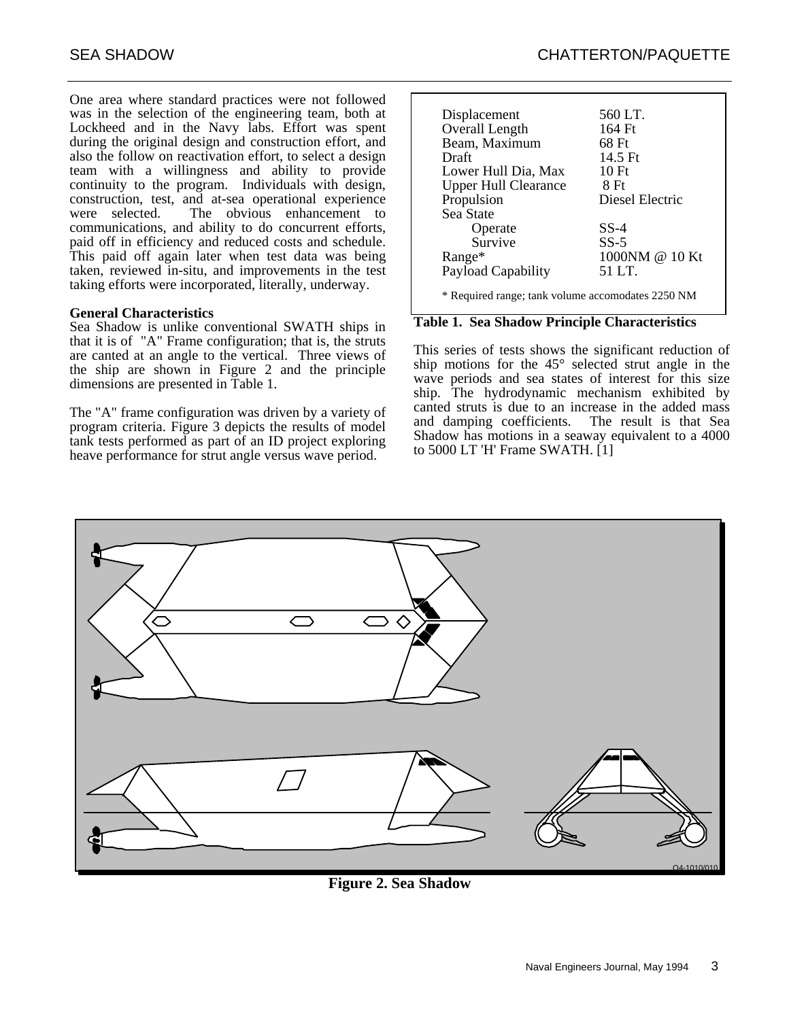One area where standard practices were not followed was in the selection of the engineering team, both at Lockheed and in the Navy labs. Effort was spent during the original design and construction effort, and also the follow on reactivation effort, to select a design team with a willingness and ability to provide continuity to the program. Individuals with design, construction, test, and at-sea operational experience were selected. The obvious enhancement to communications, and ability to do concurrent efforts, paid off in efficiency and reduced costs and schedule. This paid off again later when test data was being taken, reviewed in-situ, and improvements in the test taking efforts were incorporated, literally, underway.

#### **General Characteristics**

Sea Shadow is unlike conventional SWATH ships in that it is of "A" Frame configuration; that is, the struts are canted at an angle to the vertical. Three views of the ship are shown in Figure 2 and the principle dimensions are presented in Table 1.

The "A" frame configuration was driven by a variety of program criteria. Figure 3 depicts the results of model tank tests performed as part of an ID project exploring heave performance for strut angle versus wave period.

| Displacement                | 560 LT.           |
|-----------------------------|-------------------|
| Overall Length              | 164 Ft            |
| Beam, Maximum               | 68 Ft             |
| Draft                       | $14.5 \text{ Ft}$ |
| Lower Hull Dia, Max         | 10Ft              |
| <b>Upper Hull Clearance</b> | 8 Ft              |
| Propulsion                  | Diesel Electric   |
| Sea State                   |                   |
| Operate                     | $SS-4$            |
| Survive                     | $SS-5$            |
| Range <sup>*</sup>          | 1000NM @ 10 Kt    |
| Payload Capability          | 51 LT.            |

#### **Table 1. Sea Shadow Principle Characteristics**

This series of tests shows the significant reduction of ship motions for the 45° selected strut angle in the wave periods and sea states of interest for this size ship. The hydrodynamic mechanism exhibited by canted struts is due to an increase in the added mass and damping coefficients. The result is that Sea Shadow has motions in a seaway equivalent to a 4000 to 5000 LT 'H' Frame SWATH. [1]



**Figure 2. Sea Shadow**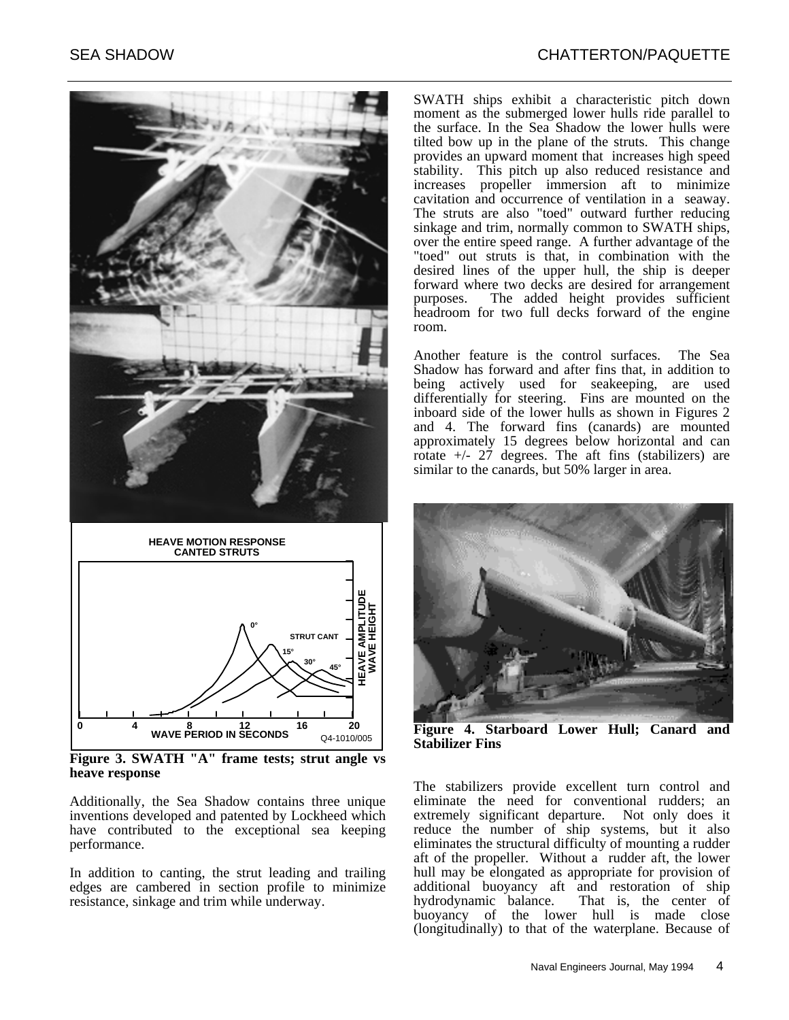

**Figure 3. SWATH "A" frame tests; strut angle vs heave response** 

Additionally, the Sea Shadow contains three unique inventions developed and patented by Lockheed which have contributed to the exceptional sea keeping performance.

In addition to canting, the strut leading and trailing edges are cambered in section profile to minimize resistance, sinkage and trim while underway.

SWATH ships exhibit a characteristic pitch down moment as the submerged lower hulls ride parallel to the surface. In the Sea Shadow the lower hulls were tilted bow up in the plane of the struts. This change provides an upward moment that increases high speed stability. This pitch up also reduced resistance and increases propeller immersion aft to minimize cavitation and occurrence of ventilation in a seaway. The struts are also "toed" outward further reducing sinkage and trim, normally common to SWATH ships, over the entire speed range. A further advantage of the "toed" out struts is that, in combination with the desired lines of the upper hull, the ship is deeper forward where two decks are desired for arrangement purposes. The added height provides sufficient headroom for two full decks forward of the engine room.

Another feature is the control surfaces. The Sea Shadow has forward and after fins that, in addition to being actively used for seakeeping, are used differentially for steering. Fins are mounted on the inboard side of the lower hulls as shown in Figures 2 and 4. The forward fins (canards) are mounted approximately 15 degrees below horizontal and can rotate  $+/- 27$  degrees. The aft fins (stabilizers) are similar to the canards, but 50% larger in area.



**Figure 4. Starboard Lower Hull; Canard and Stabilizer Fins** 

The stabilizers provide excellent turn control and eliminate the need for conventional rudders; an extremely significant departure. Not only does it reduce the number of ship systems, but it also eliminates the structural difficulty of mounting a rudder aft of the propeller. Without a rudder aft, the lower hull may be elongated as appropriate for provision of additional buoyancy aft and restoration of ship hydrodynamic balance. That is, the center of buoyancy of the lower hull is made close (longitudinally) to that of the waterplane. Because of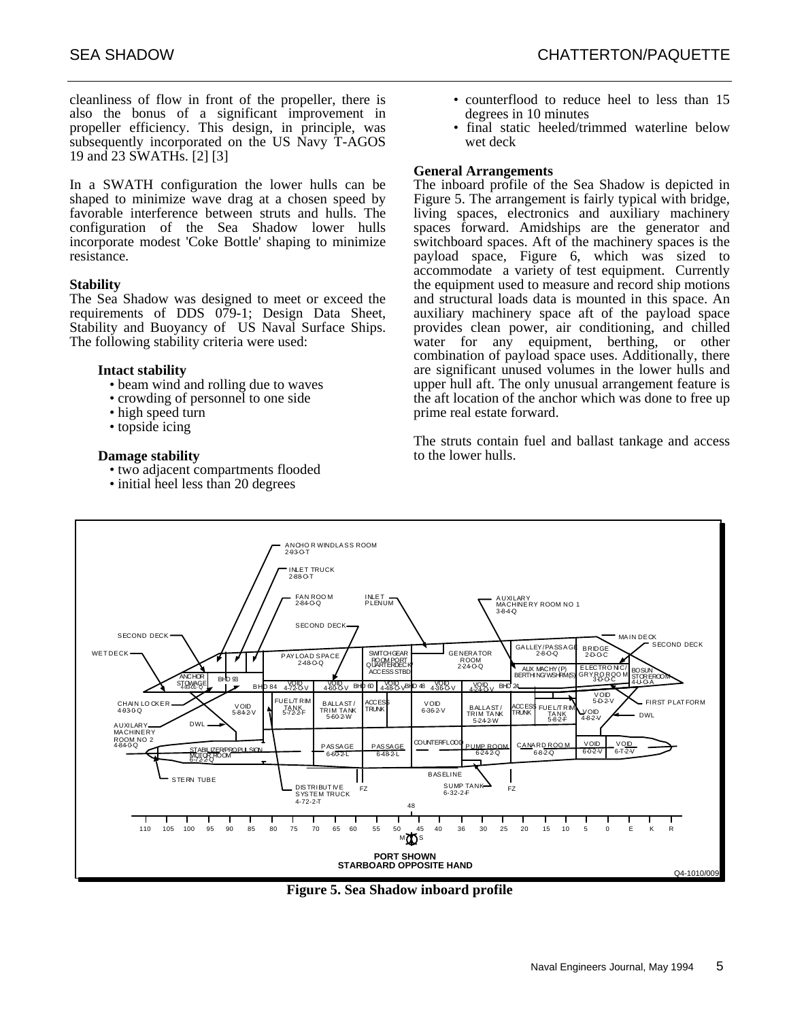cleanliness of flow in front of the propeller, there is also the bonus of a significant improvement in propeller efficiency. This design, in principle, was subsequently incorporated on the US Navy T-AGOS 19 and 23 SWATHs. [2] [3]

In a SWATH configuration the lower hulls can be shaped to minimize wave drag at a chosen speed by favorable interference between struts and hulls. The configuration of the Sea Shadow lower hulls incorporate modest 'Coke Bottle' shaping to minimize resistance.

### **Stability**

The Sea Shadow was designed to meet or exceed the requirements of DDS 079-1; Design Data Sheet, Stability and Buoyancy of US Naval Surface Ships. The following stability criteria were used:

### **Intact stability**

- beam wind and rolling due to waves
- crowding of personnel to one side
- high speed turn
- topside icing

- two adjacent compartments flooded
- initial heel less than 20 degrees
- counterflood to reduce heel to less than 15 degrees in 10 minutes
- final static heeled/trimmed waterline below wet deck

### **General Arrangements**

The inboard profile of the Sea Shadow is depicted in Figure 5. The arrangement is fairly typical with bridge, living spaces, electronics and auxiliary machinery spaces forward. Amidships are the generator and switchboard spaces. Aft of the machinery spaces is the payload space, Figure 6, which was sized to accommodate a variety of test equipment. Currently the equipment used to measure and record ship motions and structural loads data is mounted in this space. An auxiliary machinery space aft of the payload space provides clean power, air conditioning, and chilled water for any equipment, berthing, or other combination of payload space uses. Additionally, there are significant unused volumes in the lower hulls and upper hull aft. The only unusual arrangement feature is the aft location of the anchor which was done to free up prime real estate forward.

The struts contain fuel and ballast tankage and access **Damage stability** to the lower hulls.



**Figure 5. Sea Shadow inboard profile**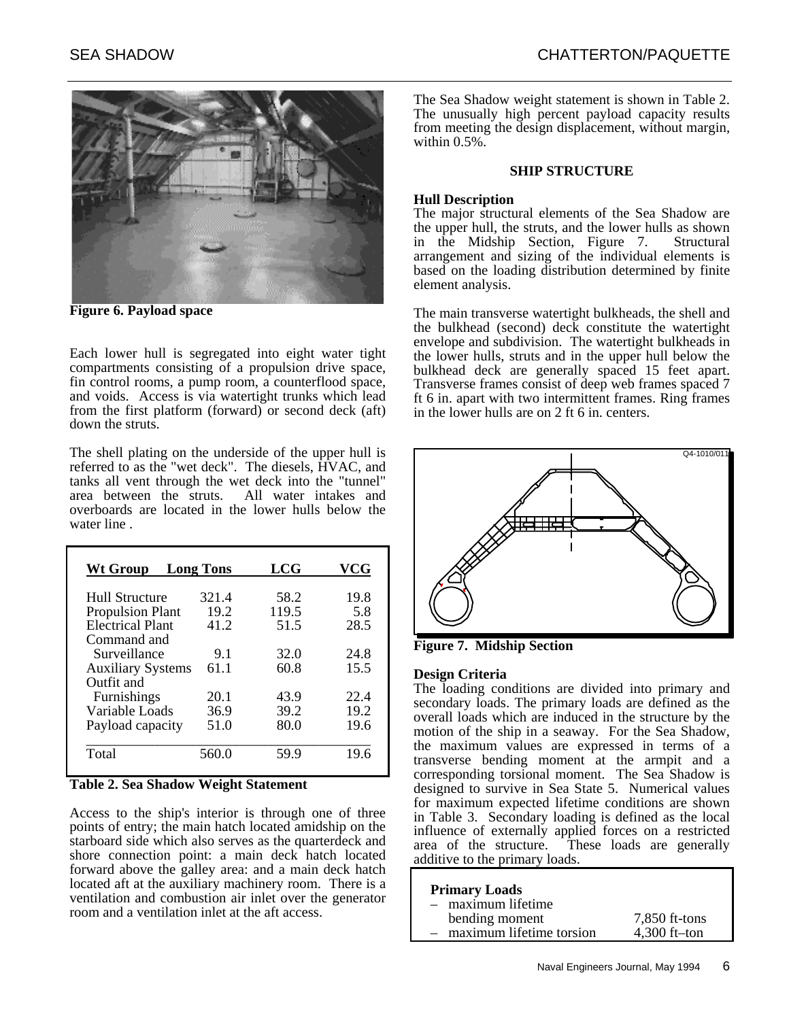

**Figure 6. Payload space** 

Each lower hull is segregated into eight water tight compartments consisting of a propulsion drive space, fin control rooms, a pump room, a counterflood space, and voids. Access is via watertight trunks which lead from the first platform (forward) or second deck (aft) down the struts.

The shell plating on the underside of the upper hull is referred to as the "wet deck". The diesels,  $\widehat{H}VAC$ , and tanks all vent through the wet deck into the "tunnel" area between the struts. overboards are located in the lower hulls below the water line .

| <b>Wt Group</b>          | <b>Long Tons</b> | LCG   | VCG  |
|--------------------------|------------------|-------|------|
| Hull Structure           | 321.4            | 58.2  | 19.8 |
| <b>Propulsion Plant</b>  | 19.2             | 119.5 | 5.8  |
| <b>Electrical Plant</b>  | 41.2             | 51.5  | 28.5 |
| Command and              |                  |       |      |
| Surveillance             | 9.1              | 32.0  | 24.8 |
| <b>Auxiliary Systems</b> | 61.1             | 60.8  | 15.5 |
| Outfit and               |                  |       |      |
| Furnishings              | 20.1             | 43.9  | 22.4 |
| Variable Loads           | 36.9             | 39.2  | 19.2 |
| Payload capacity         | 51.0             | 80.0  | 19.6 |
| Total                    | 560.0            | 59.9  | 19.6 |

# **Table 2. Sea Shadow Weight Statement**

Access to the ship's interior is through one of three points of entry; the main hatch located amidship on the starboard side which also serves as the quarterdeck and shore connection point: a main deck hatch located forward above the galley area: and a main deck hatch located aft at the auxiliary machinery room. There is a ventilation and combustion air inlet over the generator room and a ventilation inlet at the aft access.

The Sea Shadow weight statement is shown in Table 2. The unusually high percent payload capacity results from meeting the design displacement, without margin, within  $0.5\%$ .

#### **SHIP STRUCTURE**

### **Hull Description**

The major structural elements of the Sea Shadow are the upper hull, the struts, and the lower hulls as shown in the Midship Section, Figure 7. Structural arrangement and sizing of the individual elements is based on the loading distribution determined by finite element analysis.

The main transverse watertight bulkheads, the shell and the bulkhead (second) deck constitute the watertight envelope and subdivision. The watertight bulkheads in the lower hulls, struts and in the upper hull below the bulkhead deck are generally spaced 15 feet apart. Transverse frames consist of deep web frames spaced 7 ft 6 in. apart with two intermittent frames. Ring frames in the lower hulls are on 2 ft 6 in. centers.



**Figure 7. Midship Section**

#### **Design Criteria**

The loading conditions are divided into primary and secondary loads. The primary loads are defined as the overall loads which are induced in the structure by the motion of the ship in a seaway. For the Sea Shadow, the maximum values are expressed in terms of a transverse bending moment at the armpit and a corresponding torsional moment. The Sea Shadow is designed to survive in Sea State 5. Numerical values for maximum expected lifetime conditions are shown in Table 3. Secondary loading is defined as the local influence of externally applied forces on a restricted These loads are generally additive to the primary loads.

| <b>Primary Loads</b>     |                |
|--------------------------|----------------|
| - maximum lifetime       |                |
| bending moment           | 7,850 ft-tons  |
| maximum lifetime torsion | $4,300$ ft-ton |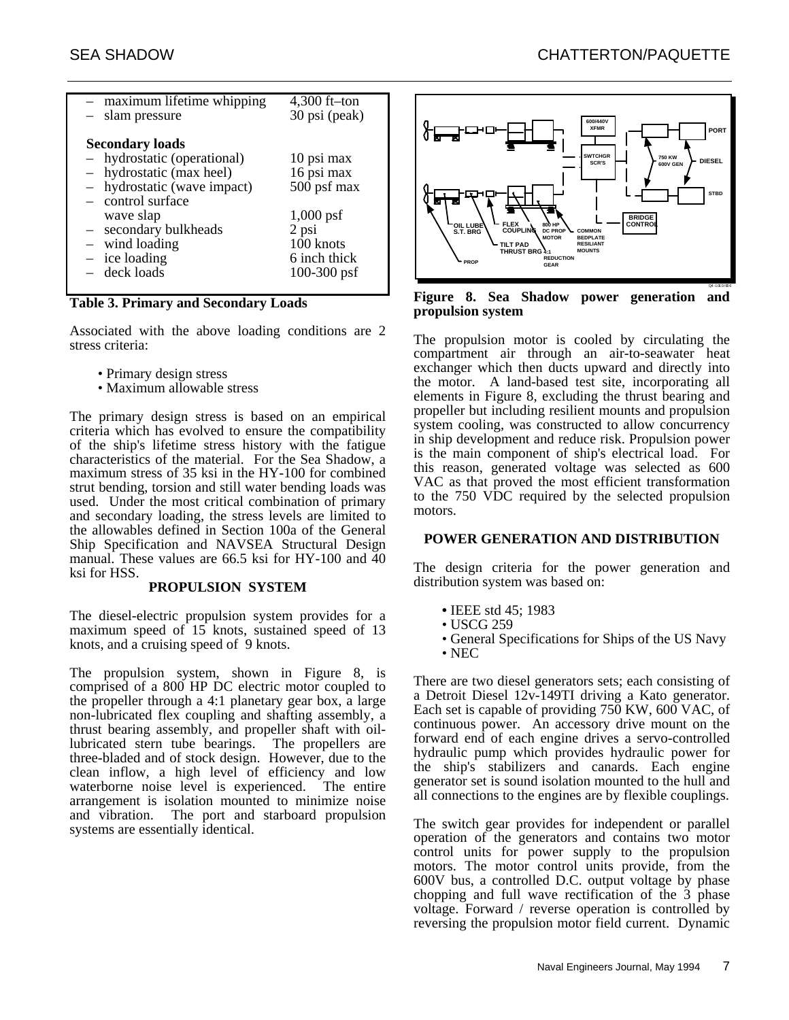| - maximum lifetime whipping | 4,300 ft-ton  |
|-----------------------------|---------------|
| - slam pressure             | 30 psi (peak) |
|                             |               |
| <b>Secondary loads</b>      |               |
| - hydrostatic (operational) | 10 psi max    |
| - hydrostatic (max heel)    | 16 psi max    |
| - hydrostatic (wave impact) | $500$ psf max |
| $-$ control surface         |               |
| wave slap                   | $1,000$ psf   |
| - secondary bulkheads       | 2 psi         |
| $-$ wind loading            | $100$ knots   |
| $-$ ice loading             | 6 inch thick  |
| - deck loads                | $100-300$ psf |
|                             |               |

**Table 3. Primary and Secondary Loads**

Associated with the above loading conditions are 2 stress criteria:

- Primary design stress
- Maximum allowable stress

The primary design stress is based on an empirical criteria which has evolved to ensure the compatibility of the ship's lifetime stress history with the fatigue characteristics of the material. For the Sea Shadow, a maximum stress of 35 ksi in the HY-100 for combined strut bending, torsion and still water bending loads was used. Under the most critical combination of primary and secondary loading, the stress levels are limited to the allowables defined in Section 100a of the General Ship Specification and NAVSEA Structural Design manual. These values are 66.5 ksi for HY-100 and 40 ksi for HSS.

#### **PROPULSION SYSTEM**

The diesel-electric propulsion system provides for a maximum speed of 15 knots, sustained speed of 13 knots, and a cruising speed of 9 knots.

The propulsion system, shown in Figure 8, is comprised of a 800 HP DC electric motor coupled to the propeller through a 4:1 planetary gear box, a large non-lubricated flex coupling and shafting assembly, a thrust bearing assembly, and propeller shaft with oillubricated stern tube bearings. The propellers are three-bladed and of stock design. However, due to the clean inflow, a high level of efficiency and low waterborne noise level is experienced. The entire waterborne noise level is experienced. arrangement is isolation mounted to minimize noise and vibration. The port and starboard propulsion systems are essentially identical.



**Figure 8. Sea Shadow power generation and propulsion system**

The propulsion motor is cooled by circulating the compartment air through an air-to-seawater heat exchanger which then ducts upward and directly into the motor. A land-based test site, incorporating all elements in Figure 8, excluding the thrust bearing and propeller but including resilient mounts and propulsion system cooling, was constructed to allow concurrency in ship development and reduce risk. Propulsion power is the main component of ship's electrical load. For this reason, generated voltage was selected as 600 VAC as that proved the most efficient transformation to the 750 VDC required by the selected propulsion motors.

#### **POWER GENERATION AND DISTRIBUTION**

The design criteria for the power generation and distribution system was based on:

- IEEE std 45; 1983
- USCG 259
- General Specifications for Ships of the US Navy
- NEC

There are two diesel generators sets; each consisting of a Detroit Diesel 12v-149TI driving a Kato generator. Each set is capable of providing 750 KW, 600 VAC, of continuous power. An accessory drive mount on the forward end of each engine drives a servo-controlled hydraulic pump which provides hydraulic power for the ship's stabilizers and canards. Each engine generator set is sound isolation mounted to the hull and all connections to the engines are by flexible couplings.

The switch gear provides for independent or parallel operation of the generators and contains two motor control units for power supply to the propulsion motors. The motor control units provide, from the 600V bus, a controlled D.C. output voltage by phase chopping and full wave rectification of the 3 phase voltage. Forward / reverse operation is controlled by reversing the propulsion motor field current. Dynamic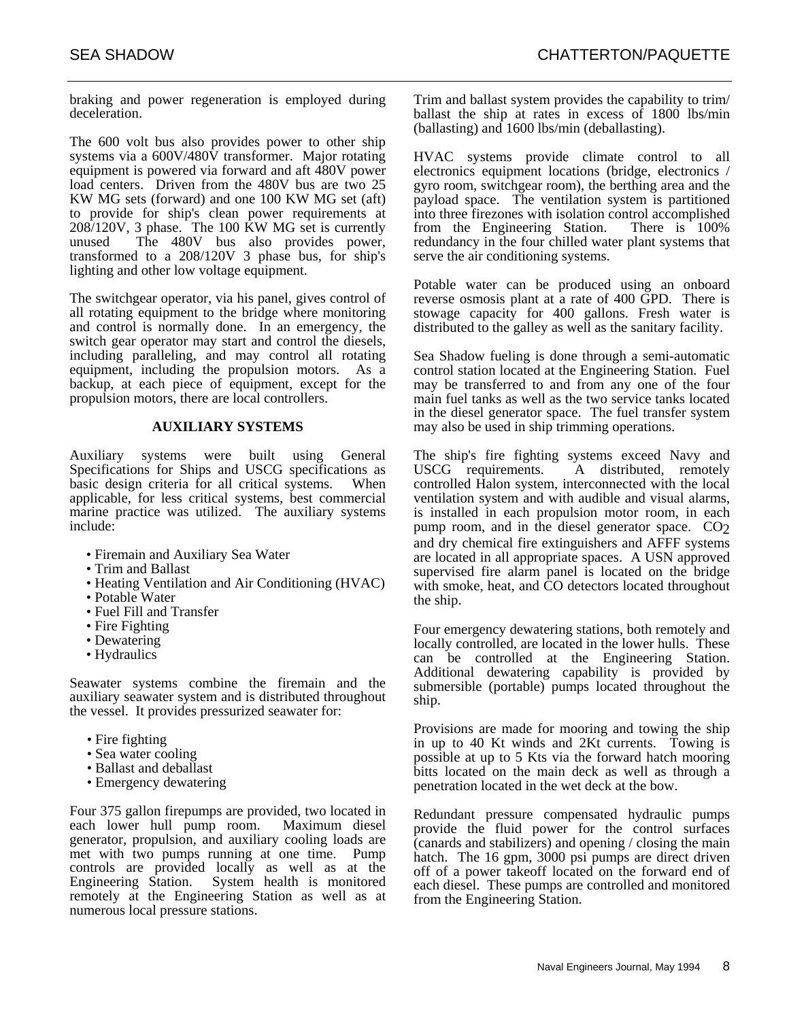braking and power regeneration is employed during deceleration.

The 600 volt bus also provides power to other ship systems via a 600V/480V transformer. Major rotating equipment is powered via forward and aft 480V power load centers. Driven from the 480V bus are two 25 KW MG sets (forward) and one 100 KW MG set (aft) to provide for ship's clean power requirements at  $208/120V$ , 3 phase. The 100 KW MG set is currently unused The 480V bus also provides power, transformed to a 208/120V 3 phase bus, for ship's lighting and other low voltage equipment.

The switchgear operator, via his panel, gives control of all rotating equipment to the bridge where monitoring and control is normally done. In an emergency, the switch gear operator may start and control the diesels, including paralleling, and may control all rotating equipment, including the propulsion motors. As a backup, at each piece of equipment, except for the propulsion motors, there are local controllers.

### **AUXILIARY SYSTEMS**

Auxiliary systems were built using General Specifications for Ships and USCG specifications as basic design criteria for all critical systems. When applicable, for less critical systems, best commercial marine practice was utilized. The auxiliary systems include:

- Firemain and Auxiliary Sea Water
- Trim and Ballast
- Heating Ventilation and Air Conditioning (HVAC)
- Potable Water
- Fuel Fill and Transfer
- Fire Fighting
- Dewatering
- Hydraulics

Seawater systems combine the firemain and the auxiliary seawater system and is distributed throughout the vessel. It provides pressurized seawater for:

- Fire fighting
- Sea water cooling
- Ballast and deballast
- Emergency dewatering

Four 375 gallon firepumps are provided, two located in each lower hull pump room. Maximum diesel each lower hull pump room. generator, propulsion, and auxiliary cooling loads are met with two pumps running at one time. Pump controls are provided locally as well as at the Engineering Station. System health is monitored remotely at the Engineering Station as well as at numerous local pressure stations.

Trim and ballast system provides the capability to trim/ ballast the ship at rates in excess of 1800 lbs/min (ballasting) and 1600 lbs/min (deballasting).

HVAC systems provide climate control to all electronics equipment locations (bridge, electronics / gyro room, switchgear room), the berthing area and the payload space. The ventilation system is partitioned into three firezones with isolation control accomplished from the Engineering Station. There is 100% redundancy in the four chilled water plant systems that serve the air conditioning systems.

Potable water can be produced using an onboard reverse osmosis plant at a rate of 400 GPD. There is stowage capacity for 400 gallons. Fresh water is distributed to the galley as well as the sanitary facility.

Sea Shadow fueling is done through a semi-automatic control station located at the Engineering Station. Fuel may be transferred to and from any one of the four main fuel tanks as well as the two service tanks located in the diesel generator space. The fuel transfer system may also be used in ship trimming operations.

The ship's fire fighting systems exceed Navy and USCG requirements. A distributed, remotely A distributed, remotely controlled Halon system, interconnected with the local ventilation system and with audible and visual alarms, is installed in each propulsion motor room, in each pump room, and in the diesel generator space.  $CO<sub>2</sub>$ and dry chemical fire extinguishers and AFFF systems are located in all appropriate spaces. A USN approved supervised fire alarm panel is located on the bridge with smoke, heat, and  $CO$  detectors located throughout the ship.

Four emergency dewatering stations, both remotely and locally controlled, are located in the lower hulls. These can be controlled at the Engineering Station. Additional dewatering capability is provided by submersible (portable) pumps located throughout the ship.

Provisions are made for mooring and towing the ship in up to 40 Kt winds and 2Kt currents. Towing is possible at up to 5 Kts via the forward hatch mooring bitts located on the main deck as well as through a penetration located in the wet deck at the bow.

Redundant pressure compensated hydraulic pumps provide the fluid power for the control surfaces (canards and stabilizers) and opening / closing the main hatch. The 16 gpm, 3000 psi pumps are direct driven off of a power takeoff located on the forward end of each diesel. These pumps are controlled and monitored from the Engineering Station.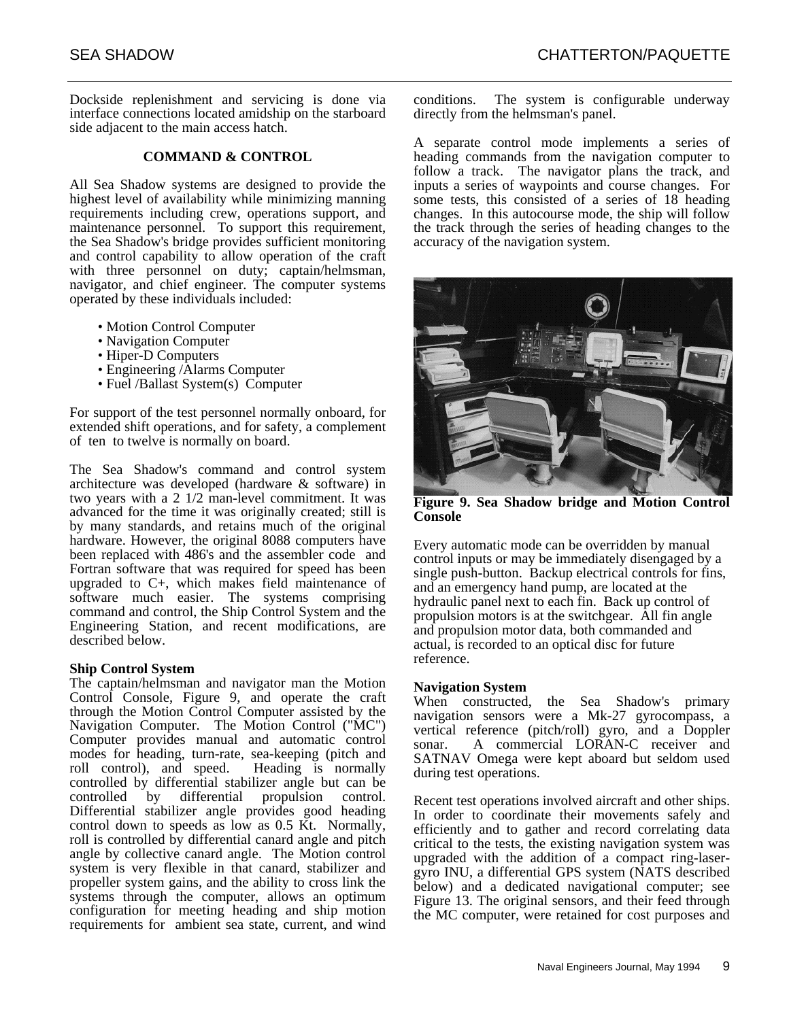Dockside replenishment and servicing is done via interface connections located amidship on the starboard side adjacent to the main access hatch.

#### **COMMAND & CONTROL**

All Sea Shadow systems are designed to provide the highest level of availability while minimizing manning requirements including crew, operations support, and maintenance personnel. To support this requirement, the Sea Shadow's bridge provides sufficient monitoring and control capability to allow operation of the craft with three personnel on duty; captain/helmsman, navigator, and chief engineer. The computer systems operated by these individuals included:

- Motion Control Computer
- Navigation Computer
- Hiper-D Computers
- Engineering *Alarms* Computer
- Fuel /Ballast System(s) Computer

For support of the test personnel normally onboard, for extended shift operations, and for safety, a complement of ten to twelve is normally on board.

The Sea Shadow's command and control system architecture was developed (hardware & software) in two years with a 2 1/2 man-level commitment. It was advanced for the time it was originally created; still is by many standards, and retains much of the original hardware. However, the original 8088 computers have been replaced with 486's and the assembler code and Fortran software that was required for speed has been upgraded to C+, which makes field maintenance of software much easier. The systems comprising command and control, the Ship Control System and the Engineering Station, and recent modifications, are described below.

# **Ship Control System**

The captain/helmsman and navigator man the Motion Control Console, Figure 9, and operate the craft through the Motion Control Computer assisted by the Navigation Computer. The Motion Control ("MC") Computer provides manual and automatic control modes for heading, turn-rate, sea-keeping (pitch and roll control), and speed. Heading is normally controlled by differential stabilizer angle but can be controlled by differential propulsion control. controlled by differential propulsion Differential stabilizer angle provides good heading control down to speeds as low as  $0.5$  Kt. Normally, roll is controlled by differential canard angle and pitch angle by collective canard angle. The Motion control system is very flexible in that canard, stabilizer and propeller system gains, and the ability to cross link the systems through the computer, allows an optimum configuration for meeting heading and ship motion requirements for ambient sea state, current, and wind

conditions. The system is configurable underway directly from the helmsman's panel.

A separate control mode implements a series of heading commands from the navigation computer to follow a track. The navigator plans the track, and inputs a series of waypoints and course changes. For some tests, this consisted of a series of 18 heading changes. In this autocourse mode, the ship will follow the track through the series of heading changes to the accuracy of the navigation system.



**Figure 9. Sea Shadow bridge and Motion Control Console** 

Every automatic mode can be overridden by manual control inputs or may be immediately disengaged by a single push-button. Backup electrical controls for fins, and an emergency hand pump, are located at the hydraulic panel next to each fin. Back up control of propulsion motors is at the switchgear. All fin angle and propulsion motor data, both commanded and actual, is recorded to an optical disc for future reference.

#### **Navigation System**

When constructed, the Sea Shadow's primary navigation sensors were a Mk-27 gyrocompass, a vertical reference (pitch/roll) gyro, and a Doppler sonar. A commercial LORAN-C receiver and SATNAV Omega were kept aboard but seldom used during test operations.

Recent test operations involved aircraft and other ships. In order to coordinate their movements safely and efficiently and to gather and record correlating data critical to the tests, the existing navigation system was upgraded with the addition of a compact ring-lasergyro INU, a differential GPS system (NATS described below) and a dedicated navigational computer; see Figure 13. The original sensors, and their feed through the MC computer, were retained for cost purposes and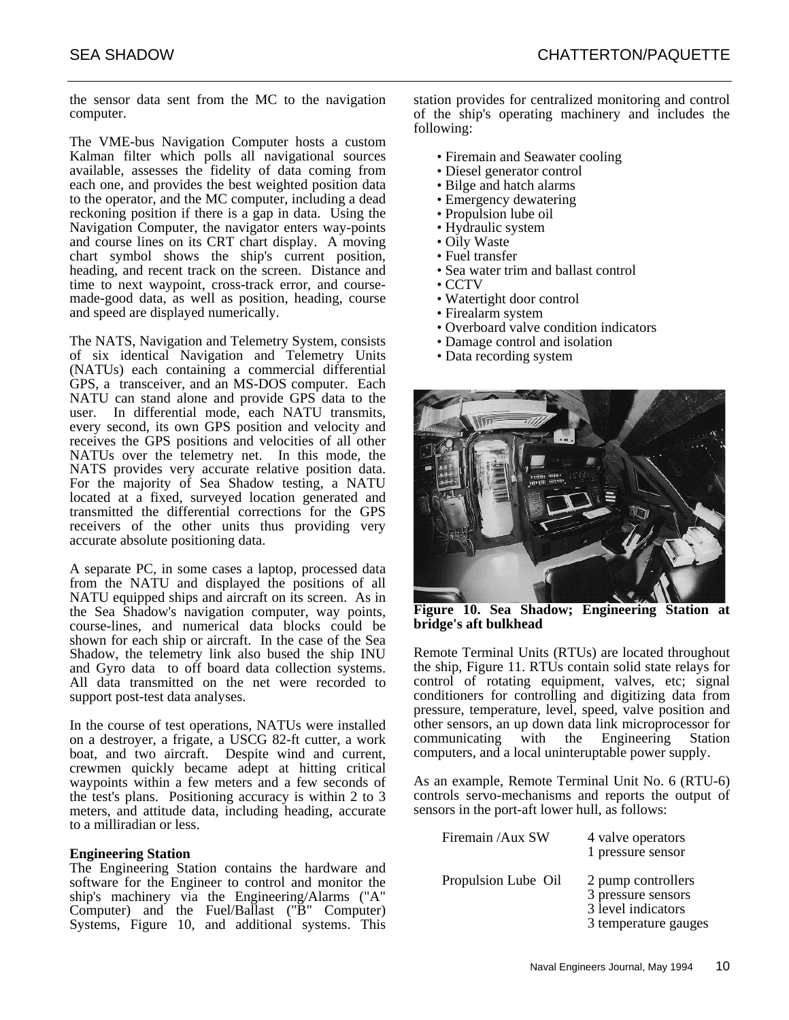the sensor data sent from the MC to the navigation computer.

The VME-bus Navigation Computer hosts a custom Kalman filter which polls all navigational sources available, assesses the fidelity of data coming from each one, and provides the best weighted position data to the operator, and the MC computer, including a dead reckoning position if there is a gap in data. Using the Navigation Computer, the navigator enters way-points and course lines on its CRT chart display. A moving chart symbol shows the ship's current position, heading, and recent track on the screen. Distance and time to next waypoint, cross-track error, and coursemade-good data, as well as position, heading, course and speed are displayed numerically.

The NATS, Navigation and Telemetry System, consists of six identical Navigation and Telemetry Units (NATUs) each containing a commercial differential GPS, a transceiver, and an MS-DOS computer. Each NATU can stand alone and provide GPS data to the user. In differential mode, each NATU transmits, every second, its own GPS position and velocity and receives the GPS positions and velocities of all other NATUs over the telemetry net. In this mode, the NATS provides very accurate relative position data. For the majority of Sea Shadow testing, a NATU located at a fixed, surveyed location generated and transmitted the differential corrections for the GPS receivers of the other units thus providing very accurate absolute positioning data.

A separate PC, in some cases a laptop, processed data from the NATU and displayed the positions of all NATU equipped ships and aircraft on its screen. As in the Sea Shadow's navigation computer, way points, course-lines, and numerical data blocks could be shown for each ship or aircraft. In the case of the Sea Shadow, the telemetry link also bused the ship INU and Gyro data to off board data collection systems. All data transmitted on the net were recorded to support post-test data analyses.

In the course of test operations, NATUs were installed on a destroyer, a frigate, a USCG 82-ft cutter, a work boat, and two aircraft. Despite wind and current, crewmen quickly became adept at hitting critical waypoints within a few meters and a few seconds of the test's plans. Positioning accuracy is within 2 to 3 meters, and attitude data, including heading, accurate to a milliradian or less.

#### **Engineering Station**

The Engineering Station contains the hardware and software for the Engineer to control and monitor the ship's machinery via the Engineering/Alarms ("A" Computer) and the Fuel/Ballast ("B" Computer) Systems, Figure 10, and additional systems. This station provides for centralized monitoring and control of the ship's operating machinery and includes the following:

- Firemain and Seawater cooling
- Diesel generator control
- Bilge and hatch alarms
- Emergency dewatering
- Propulsion lube oil
- Hydraulic system
- Oily Waste
- Fuel transfer
- Sea water trim and ballast control
- CCTV
- Watertight door control
- Firealarm system
- Overboard valve condition indicators
- Damage control and isolation
- Data recording system



**Figure 10. Sea Shadow; Engineering Station at bridge's aft bulkhead** 

Remote Terminal Units (RTUs) are located throughout the ship, Figure 11. RTUs contain solid state relays for control of rotating equipment, valves, etc; signal conditioners for controlling and digitizing data from pressure, temperature, level, speed, valve position and other sensors, an up down data link microprocessor for<br>communicating with the Engineering Station communicating with the Engineering Station computers, and a local uninteruptable power supply.

As an example, Remote Terminal Unit No. 6 (RTU-6) controls servo-mechanisms and reports the output of sensors in the port-aft lower hull, as follows:

| Firemain /Aux SW    | 4 valve operators<br>1 pressure sensor                                                 |
|---------------------|----------------------------------------------------------------------------------------|
| Propulsion Lube Oil | 2 pump controllers<br>3 pressure sensors<br>3 level indicators<br>3 temperature gauges |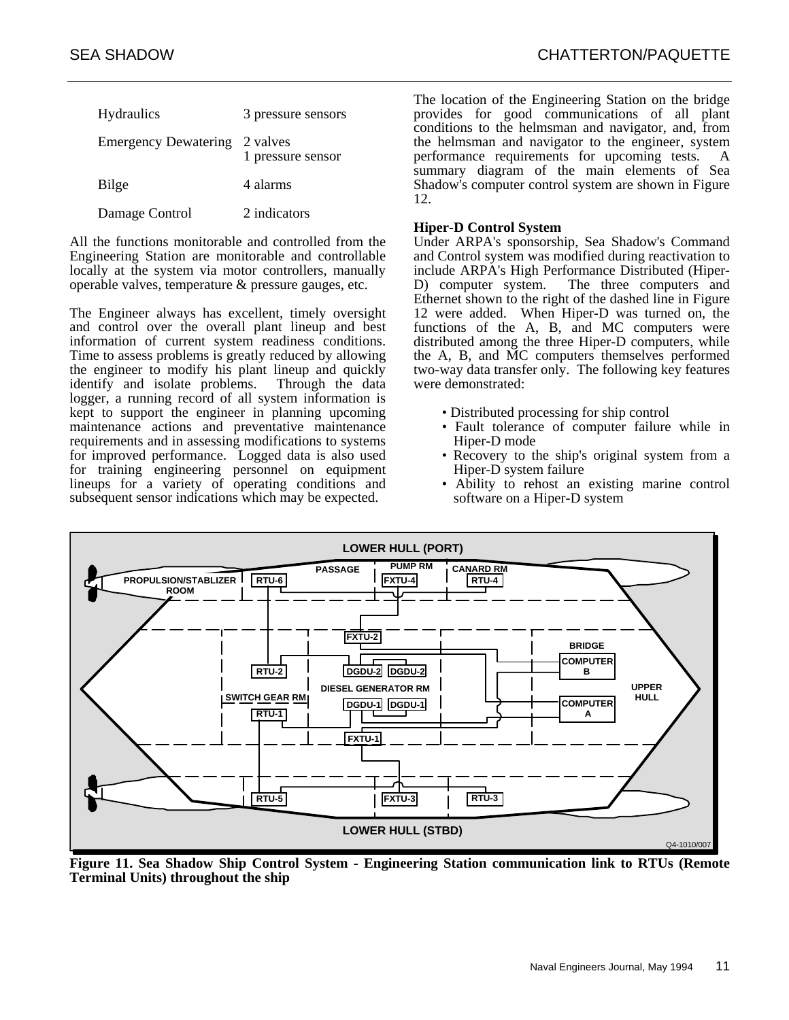| <b>Hydraulics</b>           | 3 pressure sensors            |
|-----------------------------|-------------------------------|
| <b>Emergency Dewatering</b> | 2 valves<br>1 pressure sensor |
| Bilge                       | 4 alarms                      |
| Damage Control              | 2 indicators                  |

All the functions monitorable and controlled from the Engineering Station are monitorable and controllable locally at the system via motor controllers, manually operable valves, temperature & pressure gauges, etc.

The Engineer always has excellent, timely oversight and control over the overall plant lineup and best information of current system readiness conditions. Time to assess problems is greatly reduced by allowing the engineer to modify his plant lineup and quickly identify and isolate problems. Through the data logger, a running record of all system information is kept to support the engineer in planning upcoming maintenance actions and preventative maintenance requirements and in assessing modifications to systems for improved performance. Logged data is also used for training engineering personnel on equipment lineups for a variety of operating conditions and subsequent sensor indications which may be expected.

The location of the Engineering Station on the bridge provides for good communications of all plant conditions to the helmsman and navigator, and, from the helmsman and navigator to the engineer, system performance requirements for upcoming tests. A summary diagram of the main elements of Sea Shadow's computer control system are shown in Figure 12.

# **Hiper-D Control System**

Under ARPA's sponsorship, Sea Shadow's Command and Control system was modified during reactivation to include ARPA's High Performance Distributed (Hiper-D) computer system. The three computers and Ethernet shown to the right of the dashed line in Figure 12 were added. When Hiper-D was turned on, the functions of the A, B, and MC computers were distributed among the three Hiper-D computers, while the A, B, and MC computers themselves performed two-way data transfer only. The following key features were demonstrated:

- Distributed processing for ship control
- Fault tolerance of computer failure while in Hiper-D mode
- Recovery to the ship's original system from a Hiper-D system failure
- Ability to rehost an existing marine control software on a Hiper-D system



**Figure 11. Sea Shadow Ship Control System - Engineering Station communication link to RTUs (Remote Terminal Units) throughout the ship**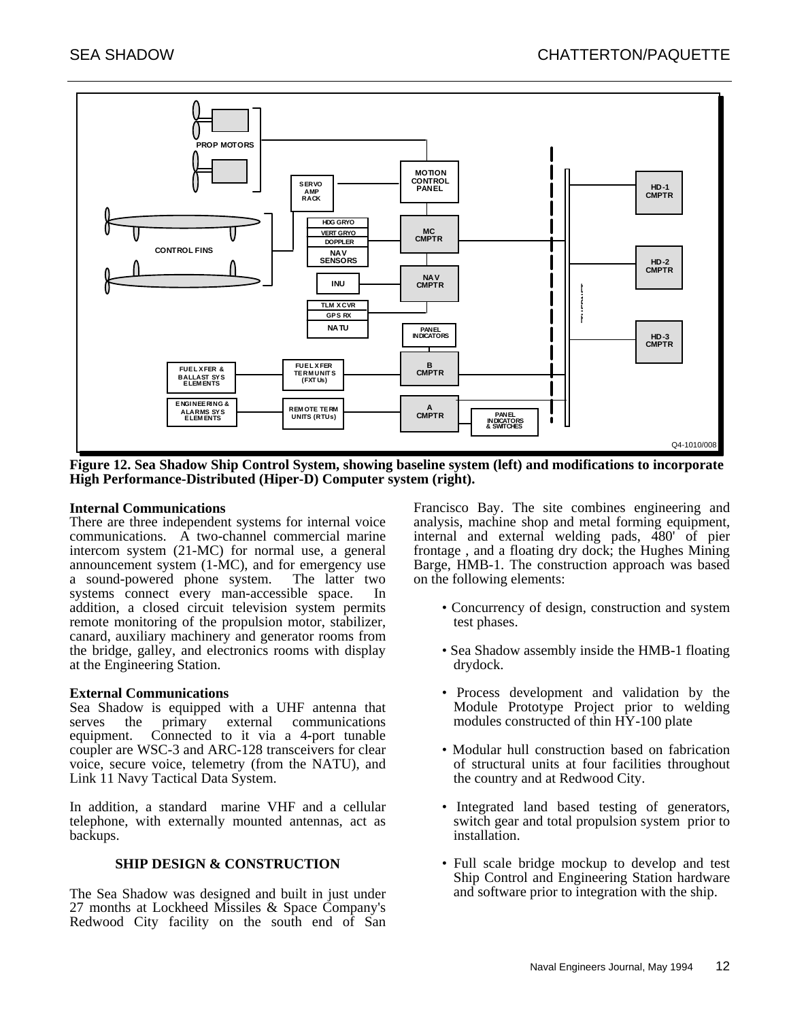

**Figure 12. Sea Shadow Ship Control System, showing baseline system (left) and modifications to incorporate High Performance-Distributed (Hiper-D) Computer system (right).** 

#### **Internal Communications**

There are three independent systems for internal voice communications. A two-channel commercial marine intercom system (21-MC) for normal use, a general announcement system (1-MC), and for emergency use<br>a sound-powered phone system. The latter two a sound-powered phone system. systems connect every man-accessible space. In addition, a closed circuit television system permits remote monitoring of the propulsion motor, stabilizer, canard, auxiliary machinery and generator rooms from the bridge, galley, and electronics rooms with display at the Engineering Station.

#### **External Communications**

Sea Shadow is equipped with a UHF antenna that serves the primary external communications communications equipment. Connected to it via a 4-port tunable coupler are WSC-3 and ARC-128 transceivers for clear voice, secure voice, telemetry (from the NATU), and Link 11 Navy Tactical Data System.

In addition, a standard marine VHF and a cellular telephone, with externally mounted antennas, act as backups.

# **SHIP DESIGN & CONSTRUCTION**

The Sea Shadow was designed and built in just under 27 months at Lockheed Missiles & Space Company's Redwood City facility on the south end of San

Francisco Bay. The site combines engineering and analysis, machine shop and metal forming equipment, internal and external welding pads, 480' of pier frontage , and a floating dry dock; the Hughes Mining Barge, HMB-1. The construction approach was based on the following elements:

- Concurrency of design, construction and system test phases.
- Sea Shadow assembly inside the HMB-1 floating drydock.
- Process development and validation by the Module Prototype Project prior to welding modules constructed of thin HY-100 plate
- Modular hull construction based on fabrication of structural units at four facilities throughout the country and at Redwood City.
- Integrated land based testing of generators, switch gear and total propulsion system prior to installation.
- Full scale bridge mockup to develop and test Ship Control and Engineering Station hardware and software prior to integration with the ship.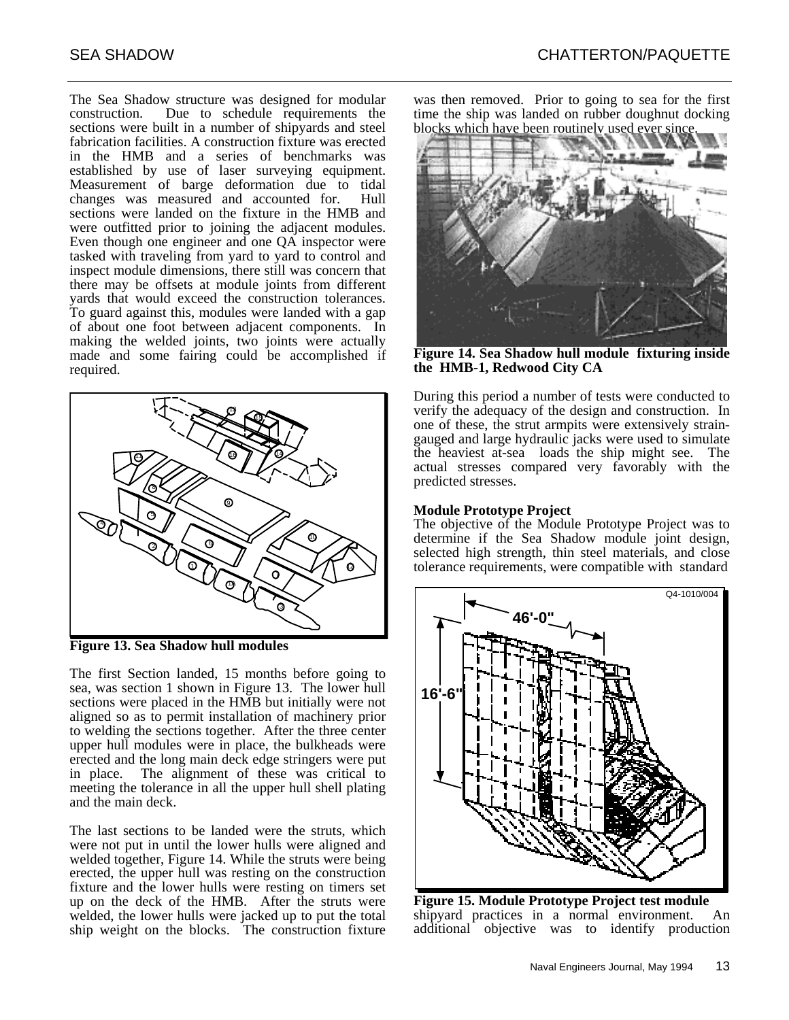The Sea Shadow structure was designed for modular construction. Due to schedule requirements the sections were built in a number of shipyards and steel fabrication facilities. A construction fixture was erected in the HMB and a series of benchmarks was established by use of laser surveying equipment. Measurement of barge deformation due to tidal changes was measured and accounted for. Hull sections were landed on the fixture in the HMB and were outfitted prior to joining the adjacent modules. Even though one engineer and one QA inspector were tasked with traveling from yard to yard to control and inspect module dimensions, there still was concern that there may be offsets at module joints from different yards that would exceed the construction tolerances. To guard against this, modules were landed with a gap of about one foot between adjacent components. In making the welded joints, two joints were actually made and some fairing could be accomplished if required.



**Figure 13. Sea Shadow hull modules** 

The first Section landed, 15 months before going to sea, was section 1 shown in Figure 13. The lower hull sections were placed in the HMB but initially were not aligned so as to permit installation of machinery prior to welding the sections together. After the three center upper hull modules were in place, the bulkheads were erected and the long main deck edge stringers were put in place. The alignment of these was critical to meeting the tolerance in all the upper hull shell plating and the main deck.

The last sections to be landed were the struts, which were not put in until the lower hulls were aligned and welded together, Figure 14. While the struts were being erected, the upper hull was resting on the construction fixture and the lower hulls were resting on timers set up on the deck of the HMB. After the struts were welded, the lower hulls were jacked up to put the total ship weight on the blocks. The construction fixture

was then removed. Prior to going to sea for the first time the ship was landed on rubber doughnut docking blocks which have been routinely used ever since.



**Figure 14. Sea Shadow hull module fixturing inside the HMB-1, Redwood City CA** 

During this period a number of tests were conducted to verify the adequacy of the design and construction. In one of these, the strut armpits were extensively straingauged and large hydraulic jacks were used to simulate the heaviest at-sea loads the ship might see. The actual stresses compared very favorably with the predicted stresses.

# **Module Prototype Project**

The objective of the Module Prototype Project was to determine if the Sea Shadow module joint design, selected high strength, thin steel materials, and close tolerance requirements, were compatible with standard



**Figure 15. Module Prototype Project test module**  shipyard practices in a normal environment. An additional objective was to identify production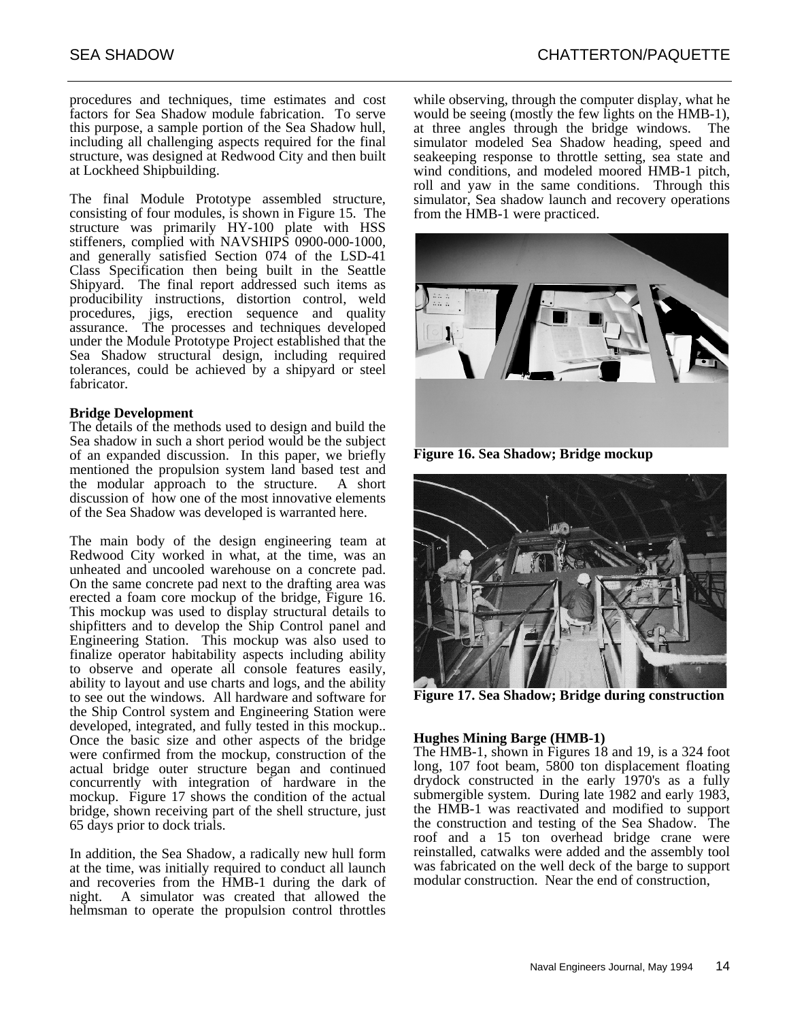structure, was designed at Redwood City and then built at Lockheed Shipbuilding. procedures and techniques, time estimates and cost factors for Sea Shadow module fabrication. To serve this purpose, a sample portion of the Sea Shadow hull, including all challenging aspects required for the final

tolerances, could be achieved by a shipyard or steel fabricator. The final Module Prototype assembled structure, consisting of four modules, is shown in Figure 15. The structure was primarily HY-100 plate with HSS stiffeners, complied with NAVSHIPS 0900-000-1000, and generally satisfied Section 074 of the LSD-41 Class Specification then being built in the Seattle Shipyard. The final report addressed such items as producibility instructions, distortion control, weld procedures, jigs, erection sequence and quality assurance. The processes and techniques developed under the Module Prototype Project established that the Sea Shadow structural design, including required

#### **Bridge Development**

discussion of how one of the most innovative elements of the Sea Shadow was developed is warranted here. The details of the methods used to design and build the Sea shadow in such a short period would be the subject of an expanded discussion. In this paper, we briefly mentioned the propulsion system land based test and the modular approach to the structure. A short the modular approach to the structure.

bridge, shown receiving part of the shell structure, just 5 days prior to dock trials. 6 The main body of the design engineering team at Redwood City worked in what, at the time, was an unheated and uncooled warehouse on a concrete pad. On the same concrete pad next to the drafting area was erected a foam core mockup of the bridge, Figure 16. This mockup was used to display structural details to shipfitters and to develop the Ship Control panel and Engineering Station. This mockup was also used to finalize operator habitability aspects including ability to observe and operate all console features easily, ability to layout and use charts and logs, and the ability to see out the windows. All hardware and software for the Ship Control system and Engineering Station were developed, integrated, and fully tested in this mockup.. Once the basic size and other aspects of the bridge were confirmed from the mockup, construction of the actual bridge outer structure began and continued concurrently with integration of hardware in the mockup. Figure 17 shows the condition of the actual

helmsman to operate the propulsion control throttles In addition, the Sea Shadow, a radically new hull form at the time, was initially required to conduct all launch and recoveries from the HMB-1 during the dark of night. A simulator was created that allowed the

while observing, through the computer display, what he would be seeing (mostly the few lights on the HMB-1), at three angles through the bridge windows. The simulator modeled Sea Shadow heading, speed and seakeeping response to throttle setting, sea state and wind conditions, and modeled moored HMB-1 pitch, roll and yaw in the same conditions. Through this simulator, Sea shadow launch and recovery operations from the HMB-1 were practiced.



**Figure 16. Sea Shadow; Bridge mockup** 



**Figure 17. Sea Shadow; Bridge during construction** 

#### **Hughes Mining Barge (HMB-1)**

The HMB-1, shown in Figures 18 and 19, is a 324 foot long, 107 foot beam, 5800 ton displacement floating drydock constructed in the early 1970's as a fully submergible system. During late 1982 and early 1983, the HMB-1 was reactivated and modified to support the construction and testing of the Sea Shadow. The roof and a 15 ton overhead bridge crane were reinstalled, catwalks were added and the assembly tool was fabricated on the well deck of the barge to support modular construction. Near the end of construction,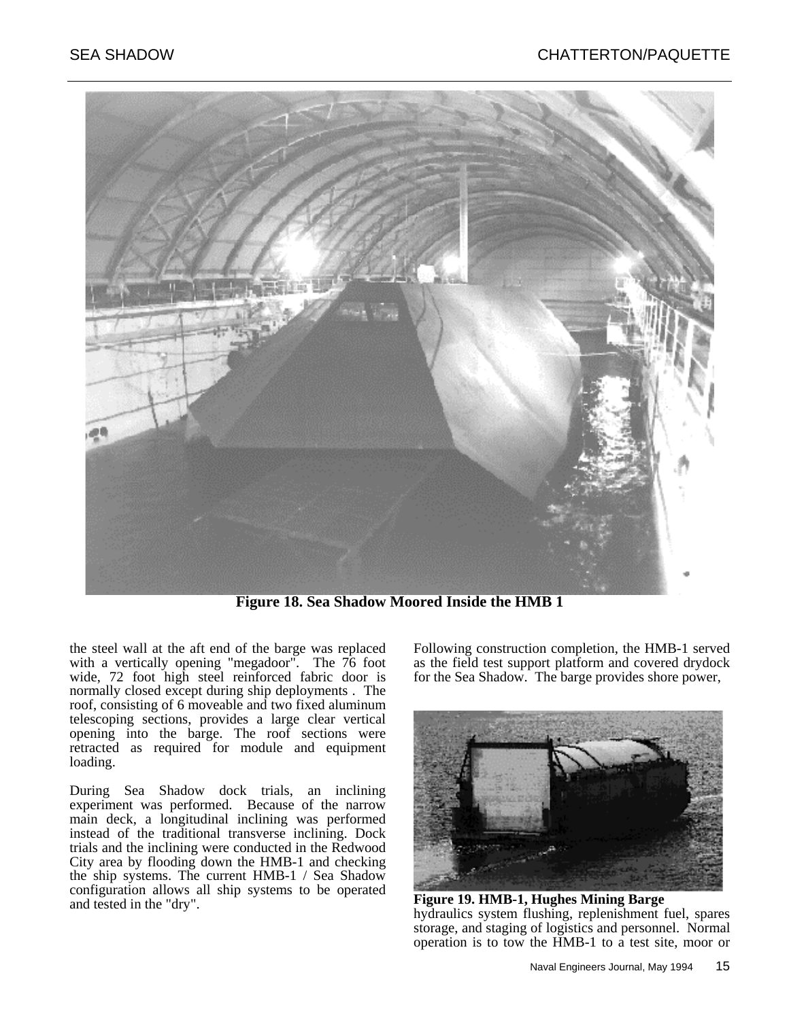

**Figure 18. Sea Shadow Moored Inside the HMB 1**

the steel wall at the aft end of the barge was replaced with a vertically opening "megadoor". The 76 foot wide, 72 foot high steel reinforced fabric door is normally closed except during ship deployments . The roof, consisting of 6 moveable and two fixed aluminum telescoping sections, provides a large clear vertical opening into the barge. The roof sections were retracted as required for module and equipment loading.

During Sea Shadow dock trials, an inclining experiment was performed. Because of the narrow main deck, a longitudinal inclining was performed instead of the traditional transverse inclining. Dock trials and the inclining were conducted in the Redwood City area by flooding down the HMB-1 and checking the ship systems. The current HMB-1 / Sea Shadow configuration allows all ship systems to be operated and tested in the "dry".

Following construction completion, the HMB-1 served as the field test support platform and covered drydock for the Sea Shadow. The barge provides shore power,



**Figure 19. HMB-1, Hughes Mining Barge**  hydraulics system flushing, replenishment fuel, spares storage, and staging of logistics and personnel. Normal operation is to tow the HMB-1 to a test site, moor or